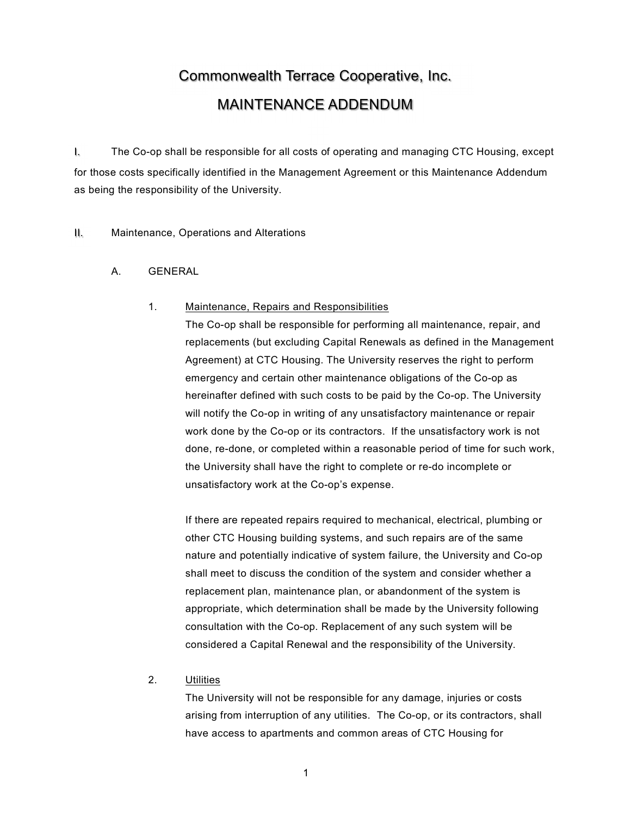# Commonwealth Terrace Cooperative, Inc. MAINTENANCE ADDENDUM

I. The Co-op shall be responsible for all costs of operating and managing CTC Housing, except for those costs specifically identified in the Management Agreement or this Maintenance Addendum as being the responsibility of the University.

II. Maintenance, Operations and Alterations

A. GENERAL

#### 1. Maintenance, Repairs and Responsibilities

The Co-op shall be responsible for performing all maintenance, repair, and replacements (but excluding Capital Renewals as defined in the Management Agreement) at CTC Housing. The University reserves the right to perform emergency and certain other maintenance obligations of the Co-op as hereinafter defined with such costs to be paid by the Co-op. The University will notify the Co-op in writing of any unsatisfactory maintenance or repair work done by the Co-op or its contractors. If the unsatisfactory work is not done, re-done, or completed within a reasonable period of time for such work, the University shall have the right to complete or re-do incomplete or unsatisfactory work at the Co-op's expense.

If there are repeated repairs required to mechanical, electrical, plumbing or other CTC Housing building systems, and such repairs are of the same nature and potentially indicative of system failure, the University and Co-op shall meet to discuss the condition of the system and consider whether a replacement plan, maintenance plan, or abandonment of the system is appropriate, which determination shall be made by the University following consultation with the Co-op. Replacement of any such system will be considered a Capital Renewal and the responsibility of the University.

# 2. Utilities

The University will not be responsible for any damage, injuries or costs arising from interruption of any utilities. The Co-op, or its contractors, shall have access to apartments and common areas of CTC Housing for

1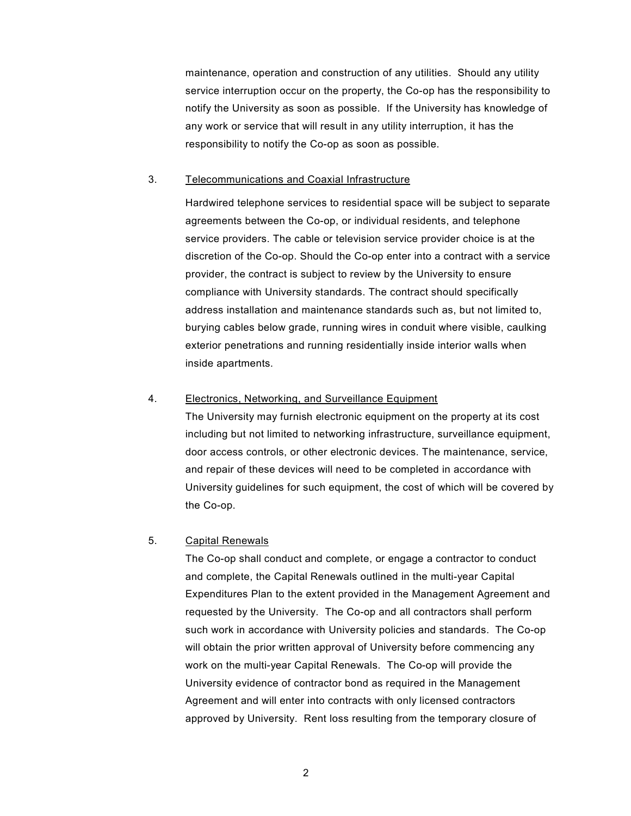maintenance, operation and construction of any utilities. Should any utility service interruption occur on the property, the Co-op has the responsibility to notify the University as soon as possible. If the University has knowledge of any work or service that will result in any utility interruption, it has the responsibility to notify the Co-op as soon as possible.

#### 3. Telecommunications and Coaxial Infrastructure

Hardwired telephone services to residential space will be subject to separate agreements between the Co-op, or individual residents, and telephone service providers. The cable or television service provider choice is at the discretion of the Co-op. Should the Co-op enter into a contract with a service provider, the contract is subject to review by the University to ensure compliance with University standards. The contract should specifically address installation and maintenance standards such as, but not limited to, burying cables below grade, running wires in conduit where visible, caulking exterior penetrations and running residentially inside interior walls when inside apartments.

#### 4. Electronics, Networking, and Surveillance Equipment

 The University may furnish electronic equipment on the property at its cost including but not limited to networking infrastructure, surveillance equipment, door access controls, or other electronic devices. The maintenance, service, and repair of these devices will need to be completed in accordance with University guidelines for such equipment, the cost of which will be covered by the Co-op.

# 5. Capital Renewals

The Co-op shall conduct and complete, or engage a contractor to conduct and complete, the Capital Renewals outlined in the multi-year Capital Expenditures Plan to the extent provided in the Management Agreement and requested by the University. The Co-op and all contractors shall perform such work in accordance with University policies and standards. The Co-op will obtain the prior written approval of University before commencing any work on the multi-year Capital Renewals. The Co-op will provide the University evidence of contractor bond as required in the Management Agreement and will enter into contracts with only licensed contractors approved by University. Rent loss resulting from the temporary closure of

2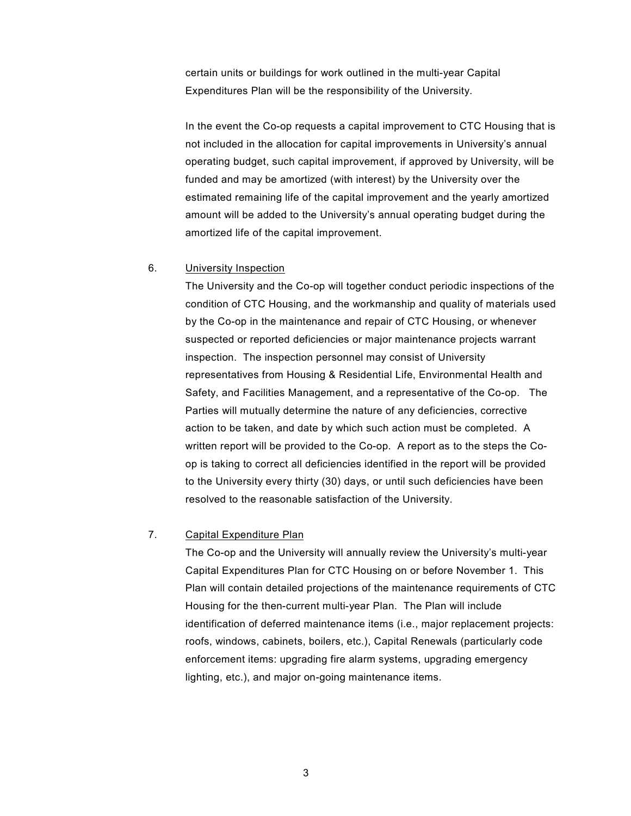certain units or buildings for work outlined in the multi-year Capital Expenditures Plan will be the responsibility of the University.

 In the event the Co-op requests a capital improvement to CTC Housing that is not included in the allocation for capital improvements in University's annual operating budget, such capital improvement, if approved by University, will be funded and may be amortized (with interest) by the University over the estimated remaining life of the capital improvement and the yearly amortized amount will be added to the University's annual operating budget during the amortized life of the capital improvement.

#### 6. University Inspection

The University and the Co-op will together conduct periodic inspections of the condition of CTC Housing, and the workmanship and quality of materials used by the Co-op in the maintenance and repair of CTC Housing, or whenever suspected or reported deficiencies or major maintenance projects warrant inspection. The inspection personnel may consist of University representatives from Housing & Residential Life, Environmental Health and Safety, and Facilities Management, and a representative of the Co-op. The Parties will mutually determine the nature of any deficiencies, corrective action to be taken, and date by which such action must be completed. A written report will be provided to the Co-op. A report as to the steps the Coop is taking to correct all deficiencies identified in the report will be provided to the University every thirty (30) days, or until such deficiencies have been resolved to the reasonable satisfaction of the University.

#### 7. Capital Expenditure Plan

 The Co-op and the University will annually review the University's multi-year Capital Expenditures Plan for CTC Housing on or before November 1. This Plan will contain detailed projections of the maintenance requirements of CTC Housing for the then-current multi-year Plan. The Plan will include identification of deferred maintenance items (i.e., major replacement projects: roofs, windows, cabinets, boilers, etc.), Capital Renewals (particularly code enforcement items: upgrading fire alarm systems, upgrading emergency lighting, etc.), and major on-going maintenance items.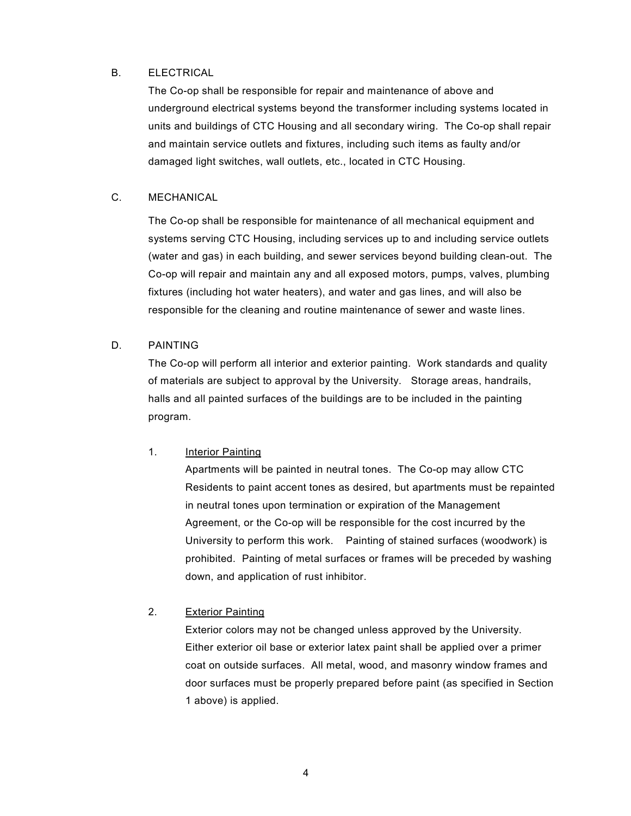#### B. ELECTRICAL

The Co-op shall be responsible for repair and maintenance of above and underground electrical systems beyond the transformer including systems located in units and buildings of CTC Housing and all secondary wiring. The Co-op shall repair and maintain service outlets and fixtures, including such items as faulty and/or damaged light switches, wall outlets, etc., located in CTC Housing.

#### C. MECHANICAL

The Co-op shall be responsible for maintenance of all mechanical equipment and systems serving CTC Housing, including services up to and including service outlets (water and gas) in each building, and sewer services beyond building clean-out. The Co-op will repair and maintain any and all exposed motors, pumps, valves, plumbing fixtures (including hot water heaters), and water and gas lines, and will also be responsible for the cleaning and routine maintenance of sewer and waste lines.

#### D. PAINTING

The Co-op will perform all interior and exterior painting. Work standards and quality of materials are subject to approval by the University. Storage areas, handrails, halls and all painted surfaces of the buildings are to be included in the painting program.

#### 1. Interior Painting

Apartments will be painted in neutral tones. The Co-op may allow CTC Residents to paint accent tones as desired, but apartments must be repainted in neutral tones upon termination or expiration of the Management Agreement, or the Co-op will be responsible for the cost incurred by the University to perform this work. Painting of stained surfaces (woodwork) is prohibited. Painting of metal surfaces or frames will be preceded by washing down, and application of rust inhibitor.

### 2. Exterior Painting

Exterior colors may not be changed unless approved by the University. Either exterior oil base or exterior latex paint shall be applied over a primer coat on outside surfaces. All metal, wood, and masonry window frames and door surfaces must be properly prepared before paint (as specified in Section 1 above) is applied.

4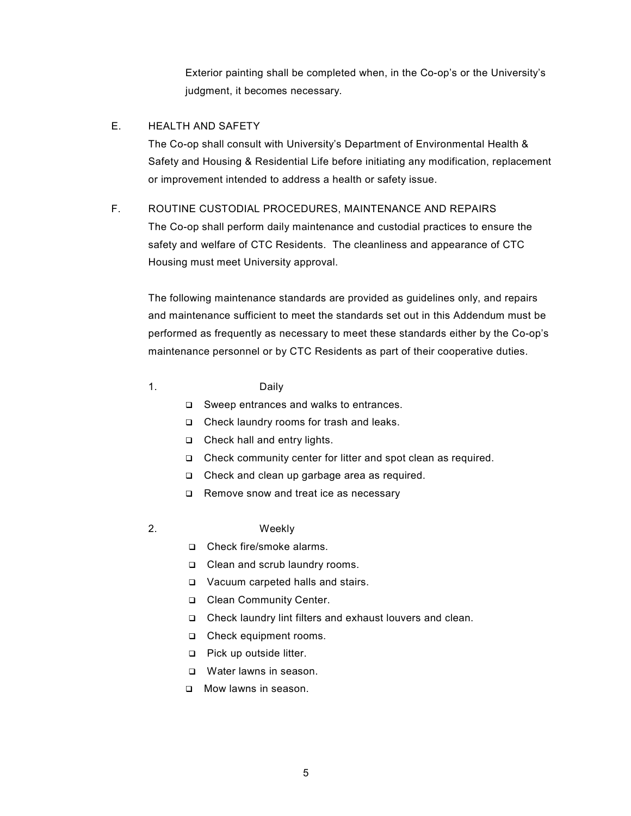Exterior painting shall be completed when, in the Co-op's or the University's judgment, it becomes necessary.

#### E. HEALTH AND SAFETY

 The Co-op shall consult with University's Department of Environmental Health & Safety and Housing & Residential Life before initiating any modification, replacement or improvement intended to address a health or safety issue.

#### F. ROUTINE CUSTODIAL PROCEDURES, MAINTENANCE AND REPAIRS

The Co-op shall perform daily maintenance and custodial practices to ensure the safety and welfare of CTC Residents. The cleanliness and appearance of CTC Housing must meet University approval.

The following maintenance standards are provided as guidelines only, and repairs and maintenance sufficient to meet the standards set out in this Addendum must be performed as frequently as necessary to meet these standards either by the Co-op's maintenance personnel or by CTC Residents as part of their cooperative duties.

#### 1. Daily

□ Sweep entrances and walks to entrances.

- □ Check laundry rooms for trash and leaks.
- □ Check hall and entry lights.
- Check community center for litter and spot clean as required.
- □ Check and clean up garbage area as required.
- □ Remove snow and treat ice as necessary

# 2. Weekly

- □ Check fire/smoke alarms.
- □ Clean and scrub laundry rooms.
- Vacuum carpeted halls and stairs.
- □ Clean Community Center.
- Check laundry lint filters and exhaust louvers and clean.
- Check equipment rooms.
- □ Pick up outside litter.
- □ Water lawns in season.
- D Mow lawns in season.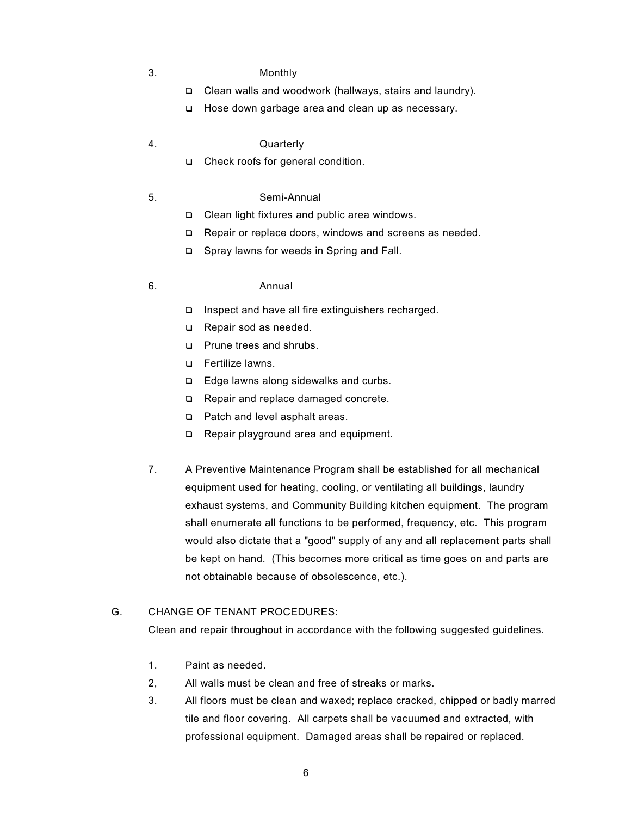- 3. Monthly
	- Clean walls and woodwork (hallways, stairs and laundry).
	- □ Hose down garbage area and clean up as necessary.
- 4. Quarterly
	- □ Check roofs for general condition.

#### 5. Semi-Annual

- Clean light fixtures and public area windows.
- Repair or replace doors, windows and screens as needed.
- □ Spray lawns for weeds in Spring and Fall.

#### 6. Annual

- Inspect and have all fire extinguishers recharged.
- Repair sod as needed.
- **Prune trees and shrubs.**
- □ Fertilize lawns.
- □ Edge lawns along sidewalks and curbs.
- Repair and replace damaged concrete.
- □ Patch and level asphalt areas.
- □ Repair playground area and equipment.
- 7. A Preventive Maintenance Program shall be established for all mechanical equipment used for heating, cooling, or ventilating all buildings, laundry exhaust systems, and Community Building kitchen equipment. The program shall enumerate all functions to be performed, frequency, etc. This program would also dictate that a "good" supply of any and all replacement parts shall be kept on hand. (This becomes more critical as time goes on and parts are not obtainable because of obsolescence, etc.).

#### G. CHANGE OF TENANT PROCEDURES:

Clean and repair throughout in accordance with the following suggested guidelines.

- 1. Paint as needed.
- 2, All walls must be clean and free of streaks or marks.
- 3. All floors must be clean and waxed; replace cracked, chipped or badly marred tile and floor covering. All carpets shall be vacuumed and extracted, with professional equipment. Damaged areas shall be repaired or replaced.